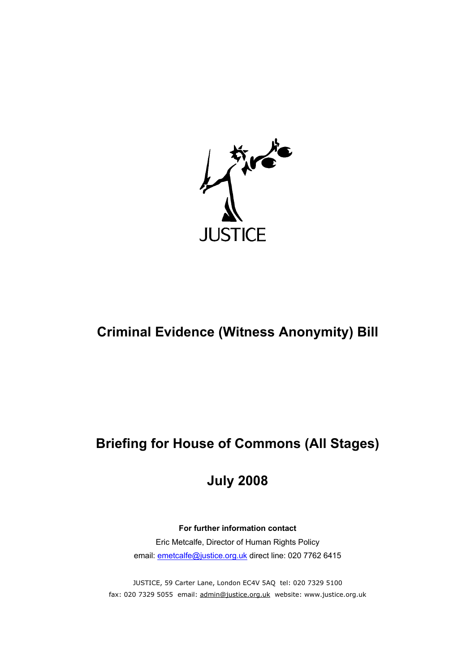

# **Criminal Evidence (Witness Anonymity) Bill**

# **Briefing for House of Commons (All Stages)**

# **July 2008**

# **For further information contact**

Eric Metcalfe, Director of Human Rights Policy email: [emetcalfe@justice.org.uk](mailto:emetcalfe@justice.org.uk) direct line: 020 7762 6415

JUSTICE, 59 Carter Lane, London EC4V 5AQ tel: 020 7329 5100 fax: 020 7329 5055 email: [admin@justice.org.uk](mailto:admin@justice.org.uk) website: www.justice.org.uk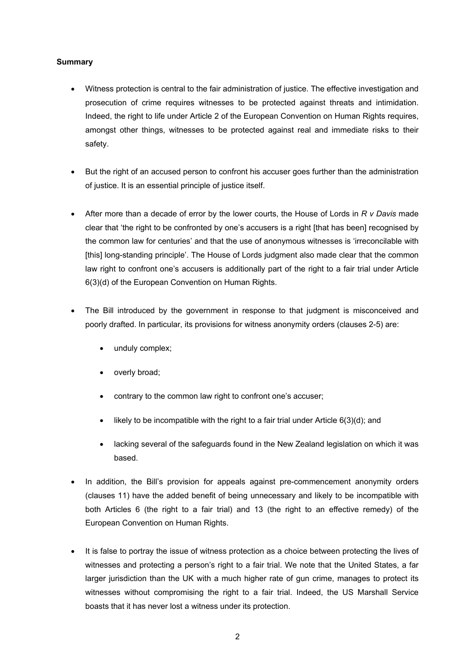## **Summary**

- Witness protection is central to the fair administration of justice. The effective investigation and prosecution of crime requires witnesses to be protected against threats and intimidation. Indeed, the right to life under Article 2 of the European Convention on Human Rights requires, amongst other things, witnesses to be protected against real and immediate risks to their safety. •
- But the right of an accused person to confront his accuser goes further than the administration of justice. It is an essential principle of justice itself.
- After more than a decade of error by the lower courts, the House of Lords in *R v Davis* made clear that 'the right to be confronted by one's accusers is a right [that has been] recognised by the common law for centuries' and that the use of anonymous witnesses is 'irreconcilable with [this] long-standing principle'. The House of Lords judgment also made clear that the common law right to confront one's accusers is additionally part of the right to a fair trial under Article 6(3)(d) of the European Convention on Human Rights.
- The Bill introduced by the government in response to that judgment is misconceived and poorly drafted. In particular, its provisions for witness anonymity orders (clauses 2-5) are:
	- unduly complex;
	- overly broad;
	- contrary to the common law right to confront one's accuser;
	- likely to be incompatible with the right to a fair trial under Article  $6(3)(d)$ ; and
	- lacking several of the safeguards found in the New Zealand legislation on which it was based.
- In addition, the Bill's provision for appeals against pre-commencement anonymity orders (clauses 11) have the added benefit of being unnecessary and likely to be incompatible with both Articles 6 (the right to a fair trial) and 13 (the right to an effective remedy) of the European Convention on Human Rights.
- It is false to portray the issue of witness protection as a choice between protecting the lives of witnesses and protecting a person's right to a fair trial. We note that the United States, a far larger jurisdiction than the UK with a much higher rate of gun crime, manages to protect its witnesses without compromising the right to a fair trial. Indeed, the US Marshall Service boasts that it has never lost a witness under its protection.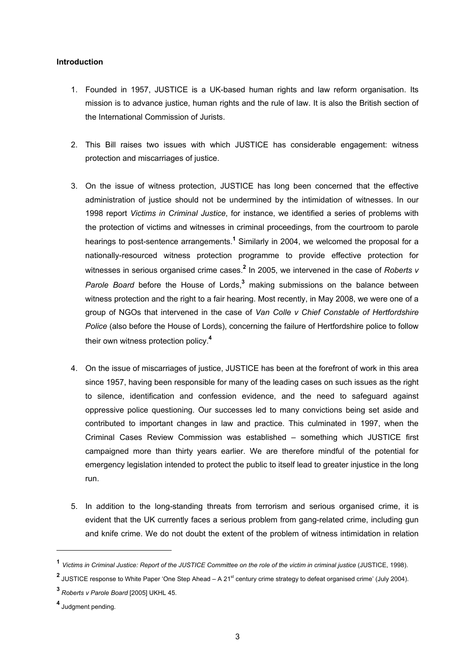### **Introduction**

- 1. Founded in 1957, JUSTICE is a UK-based human rights and law reform organisation. Its mission is to advance justice, human rights and the rule of law. It is also the British section of the International Commission of Jurists.
- 2. This Bill raises two issues with which JUSTICE has considerable engagement: witness protection and miscarriages of justice.
- 3. On the issue of witness protection, JUSTICE has long been concerned that the effective administration of justice should not be undermined by the intimidation of witnesses. In our 1998 report *Victims in Criminal Justice*, for instance, we identified a series of problems with the protection of victims and witnesses in criminal proceedings, from the courtroom to parole hearings to post-sentence arrangements.<sup>[1](#page-2-0)</sup> Similarly in 2004, we welcomed the proposal for a nationally-resourced witness protection programme to provide effective protection for witnesses in serious organised crime cases.**[2](#page-2-1)** In 2005, we intervened in the case of *Roberts v Parole Board* before the House of Lords,**[3](#page-2-2)** making submissions on the balance between witness protection and the right to a fair hearing. Most recently, in May 2008, we were one of a group of NGOs that intervened in the case of *Van Colle v Chief Constable of Hertfordshire Police* (also before the House of Lords), concerning the failure of Hertfordshire police to follow their own witness protection policy.**[4](#page-2-3)**
- 4. On the issue of miscarriages of justice, JUSTICE has been at the forefront of work in this area since 1957, having been responsible for many of the leading cases on such issues as the right to silence, identification and confession evidence, and the need to safeguard against oppressive police questioning. Our successes led to many convictions being set aside and contributed to important changes in law and practice. This culminated in 1997, when the Criminal Cases Review Commission was established – something which JUSTICE first campaigned more than thirty years earlier. We are therefore mindful of the potential for emergency legislation intended to protect the public to itself lead to greater injustice in the long run.
- 5. In addition to the long-standing threats from terrorism and serious organised crime, it is evident that the UK currently faces a serious problem from gang-related crime, including gun and knife crime. We do not doubt the extent of the problem of witness intimidation in relation

 $\overline{a}$ 

<span id="page-2-0"></span>**<sup>1</sup>** *Victims in Criminal Justice: Report of the JUSTICE Committee on the role of the victim in criminal justice* (JUSTICE, 1998).

<span id="page-2-1"></span>**<sup>2</sup>** JUSTICE response to White Paper 'One Step Ahead – A 21<sup>st</sup> century crime strategy to defeat organised crime' (July 2004).

<span id="page-2-2"></span>**<sup>3</sup>** *Roberts v Parole Board* [2005] UKHL 45.

<span id="page-2-3"></span>**<sup>4</sup>** Judgment pending.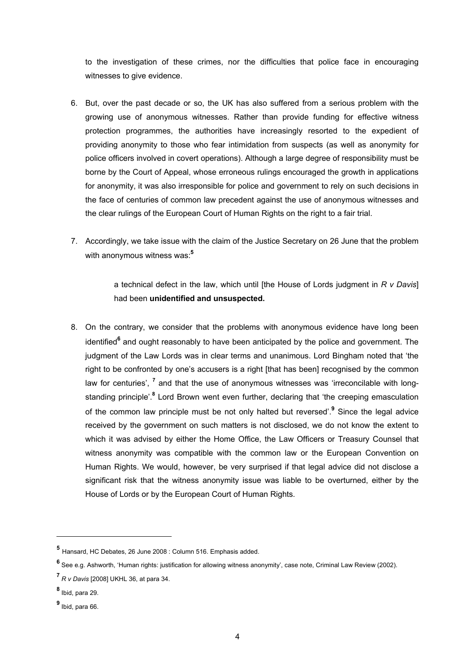to the investigation of these crimes, nor the difficulties that police face in encouraging witnesses to give evidence.

- 6. But, over the past decade or so, the UK has also suffered from a serious problem with the growing use of anonymous witnesses. Rather than provide funding for effective witness protection programmes, the authorities have increasingly resorted to the expedient of providing anonymity to those who fear intimidation from suspects (as well as anonymity for police officers involved in covert operations). Although a large degree of responsibility must be borne by the Court of Appeal, whose erroneous rulings encouraged the growth in applications for anonymity, it was also irresponsible for police and government to rely on such decisions in the face of centuries of common law precedent against the use of anonymous witnesses and the clear rulings of the European Court of Human Rights on the right to a fair trial.
- 7. Accordingly, we take issue with the claim of the Justice Secretary on 26 June that the problem with anonymous witness was:**[5](#page-3-0)**

a technical defect in the law, which until [the House of Lords judgment in *R v Davis*] had been **unidentified and unsuspected.** 

8. On the contrary, we consider that the problems with anonymous evidence have long been identified<sup>[6](#page-3-1)</sup> and ought reasonably to have been anticipated by the police and government. The judgment of the Law Lords was in clear terms and unanimous. Lord Bingham noted that 'the right to be confronted by one's accusers is a right [that has been] recognised by the common law for centuries', <sup>[7](#page-3-2)</sup> and that the use of anonymous witnesses was 'irreconcilable with longstanding principle'.**<sup>8</sup>** Lord Brown went even further, declaring that 'the creeping emasculation of the common law principle must be not only halted but reversed'.**[9](#page-3-4)** Since the legal advice received by the government on such matters is not disclosed, we do not know the extent to which it was advised by either the Home Office, the Law Officers or Treasury Counsel that witness anonymity was compatible with the common law or the European Convention on Human Rights. We would, however, be very surprised if that legal advice did not disclose a significant risk that the witness anonymity issue was liable to be overturned, either by the House of Lords or by the European Court of Human Rights.

<span id="page-3-0"></span>**<sup>5</sup>** Hansard, HC Debates, 26 June 2008 : Column 516. Emphasis added.

<span id="page-3-1"></span>**<sup>6</sup>** See e.g. Ashworth, 'Human rights: justification for allowing witness anonymity', case note, Criminal Law Review (2002).

<span id="page-3-2"></span>**<sup>7</sup>** *R v Davis* [2008] UKHL 36, at para 34.

<span id="page-3-3"></span>**<sup>8</sup>** Ibid, para 29.

<span id="page-3-4"></span>**<sup>9</sup>** Ibid, para 66.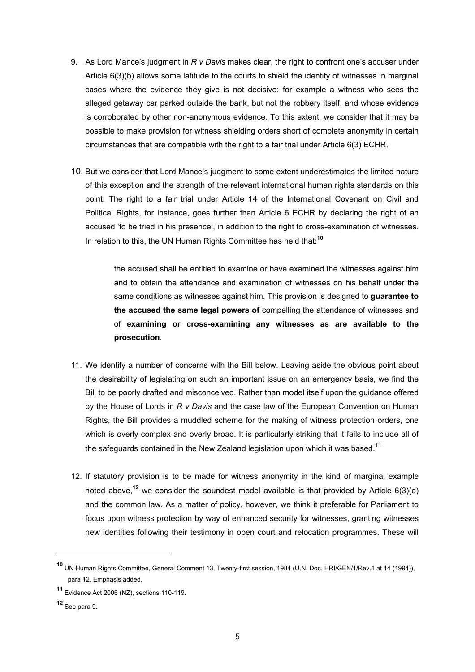- 9. As Lord Mance's judgment in *R v Davis* makes clear, the right to confront one's accuser under Article 6(3)(b) allows some latitude to the courts to shield the identity of witnesses in marginal cases where the evidence they give is not decisive: for example a witness who sees the alleged getaway car parked outside the bank, but not the robbery itself, and whose evidence is corroborated by other non-anonymous evidence. To this extent, we consider that it may be possible to make provision for witness shielding orders short of complete anonymity in certain circumstances that are compatible with the right to a fair trial under Article 6(3) ECHR.
- 10. But we consider that Lord Mance's judgment to some extent underestimates the limited nature of this exception and the strength of the relevant international human rights standards on this point. The right to a fair trial under Article 14 of the International Covenant on Civil and Political Rights, for instance, goes further than Article 6 ECHR by declaring the right of an accused 'to be tried in his presence', in addition to the right to cross-examination of witnesses. In relation to this, the UN Human Rights Committee has held that:**[10](#page-4-0)**

the accused shall be entitled to examine or have examined the witnesses against him and to obtain the attendance and examination of witnesses on his behalf under the same conditions as witnesses against him. This provision is designed to **guarantee to the accused the same legal powers of** compelling the attendance of witnesses and of **examining or cross-examining any witnesses as are available to the prosecution**.

- 11. We identify a number of concerns with the Bill below. Leaving aside the obvious point about the desirability of legislating on such an important issue on an emergency basis, we find the Bill to be poorly drafted and misconceived. Rather than model itself upon the guidance offered by the House of Lords in *R v Davis* and the case law of the European Convention on Human Rights, the Bill provides a muddled scheme for the making of witness protection orders, one which is overly complex and overly broad. It is particularly striking that it fails to include all of the safeguards contained in the New Zealand legislation upon which it was based.**[11](#page-4-1)**
- 12. If statutory provision is to be made for witness anonymity in the kind of marginal example noted above,<sup>[12](#page-4-2)</sup> we consider the soundest model available is that provided by Article  $6(3)(d)$ and the common law. As a matter of policy, however, we think it preferable for Parliament to focus upon witness protection by way of enhanced security for witnesses, granting witnesses new identities following their testimony in open court and relocation programmes. These will

 $\overline{a}$ 

<span id="page-4-0"></span>**<sup>10</sup>** UN Human Rights Committee, General Comment 13, Twenty-first session, 1984 (U.N. Doc. HRI/GEN/1/Rev.1 at 14 (1994)), para 12. Emphasis added.

<span id="page-4-1"></span>**<sup>11</sup>** Evidence Act 2006 (NZ), sections 110-119.

<span id="page-4-2"></span>**<sup>12</sup>** See para 9.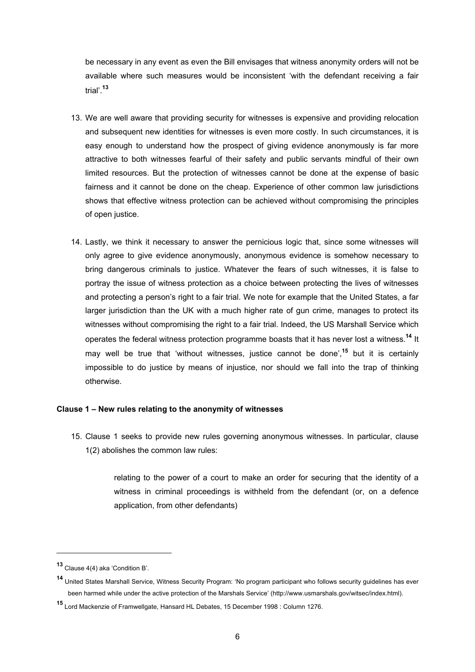be necessary in any event as even the Bill envisages that witness anonymity orders will not be available where such measures would be inconsistent 'with the defendant receiving a fair trial'.**[13](#page-5-0)**

- 13. We are well aware that providing security for witnesses is expensive and providing relocation and subsequent new identities for witnesses is even more costly. In such circumstances, it is easy enough to understand how the prospect of giving evidence anonymously is far more attractive to both witnesses fearful of their safety and public servants mindful of their own limited resources. But the protection of witnesses cannot be done at the expense of basic fairness and it cannot be done on the cheap. Experience of other common law jurisdictions shows that effective witness protection can be achieved without compromising the principles of open justice.
- 14. Lastly, we think it necessary to answer the pernicious logic that, since some witnesses will only agree to give evidence anonymously, anonymous evidence is somehow necessary to bring dangerous criminals to justice. Whatever the fears of such witnesses, it is false to portray the issue of witness protection as a choice between protecting the lives of witnesses and protecting a person's right to a fair trial. We note for example that the United States, a far larger jurisdiction than the UK with a much higher rate of gun crime, manages to protect its witnesses without compromising the right to a fair trial. Indeed, the US Marshall Service which operates the federal witness protection programme boasts that it has never lost a witness.**[14](#page-5-1)** It may well be true that 'without witnesses, justice cannot be done',**[15](#page-5-2)** but it is certainly impossible to do justice by means of injustice, nor should we fall into the trap of thinking otherwise.

### **Clause 1 – New rules relating to the anonymity of witnesses**

15. Clause 1 seeks to provide new rules governing anonymous witnesses. In particular, clause 1(2) abolishes the common law rules:

> relating to the power of a court to make an order for securing that the identity of a witness in criminal proceedings is withheld from the defendant (or, on a defence application, from other defendants)

 $\overline{a}$ 

<span id="page-5-0"></span>**<sup>13</sup>** Clause 4(4) aka 'Condition B'.

<span id="page-5-1"></span>**<sup>14</sup>** United States Marshall Service, Witness Security Program: 'No program participant who follows security guidelines has ever been harmed while under the active protection of the Marshals Service' (http://www.usmarshals.gov/witsec/index.html).

<span id="page-5-2"></span>**<sup>15</sup>** Lord Mackenzie of Framwellgate, Hansard HL Debates, 15 December 1998 : Column 1276.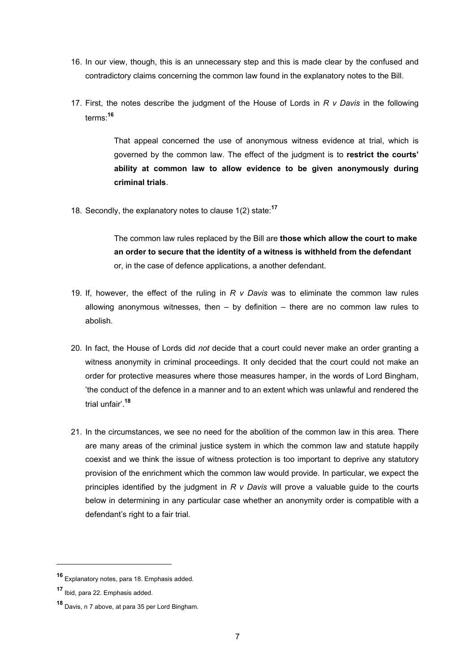- 16. In our view, though, this is an unnecessary step and this is made clear by the confused and contradictory claims concerning the common law found in the explanatory notes to the Bill.
- 17. First, the notes describe the judgment of the House of Lords in *R v Davis* in the following terms: **[16](#page-6-0)**

That appeal concerned the use of anonymous witness evidence at trial, which is governed by the common law. The effect of the judgment is to **restrict the courts' ability at common law to allow evidence to be given anonymously during criminal trials**.

18. Secondly, the explanatory notes to clause 1(2) state:**[17](#page-6-1)**

The common law rules replaced by the Bill are **those which allow the court to make an order to secure that the identity of a witness is withheld from the defendant** or, in the case of defence applications, a another defendant.

- 19. If, however, the effect of the ruling in *R v Davis* was to eliminate the common law rules allowing anonymous witnesses, then – by definition – there are no common law rules to abolish.
- 20. In fact, the House of Lords did *not* decide that a court could never make an order granting a witness anonymity in criminal proceedings. It only decided that the court could not make an order for protective measures where those measures hamper, in the words of Lord Bingham, 'the conduct of the defence in a manner and to an extent which was unlawful and rendered the trial unfair'.**[18](#page-6-2)**
- 21. In the circumstances, we see no need for the abolition of the common law in this area. There are many areas of the criminal justice system in which the common law and statute happily coexist and we think the issue of witness protection is too important to deprive any statutory provision of the enrichment which the common law would provide. In particular, we expect the principles identified by the judgment in *R v Davis* will prove a valuable guide to the courts below in determining in any particular case whether an anonymity order is compatible with a defendant's right to a fair trial.

<span id="page-6-0"></span>**<sup>16</sup>** Explanatory notes, para 18. Emphasis added.

<span id="page-6-1"></span>**<sup>17</sup>** Ibid, para 22. Emphasis added.

<span id="page-6-2"></span>**<sup>18</sup>** Davis, n 7 above, at para 35 per Lord Bingham.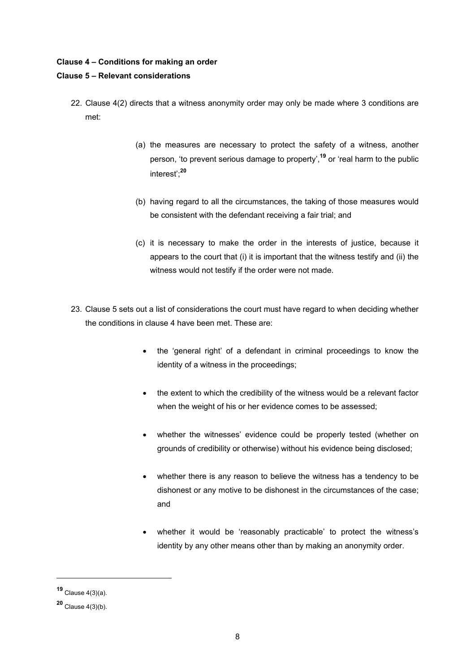### **Clause 4 – Conditions for making an order**

### **Clause 5 – Relevant considerations**

- 22. Clause 4(2) directs that a witness anonymity order may only be made where 3 conditions are met:
	- (a) the measures are necessary to protect the safety of a witness, another person, 'to prevent serious damage to property',**[19](#page-7-0)** or 'real harm to the public interest';**[20](#page-7-1)**
	- (b) having regard to all the circumstances, the taking of those measures would be consistent with the defendant receiving a fair trial; and
	- (c) it is necessary to make the order in the interests of justice, because it appears to the court that (i) it is important that the witness testify and (ii) the witness would not testify if the order were not made.
- 23. Clause 5 sets out a list of considerations the court must have regard to when deciding whether the conditions in clause 4 have been met. These are:
	- the 'general right' of a defendant in criminal proceedings to know the identity of a witness in the proceedings;
	- the extent to which the credibility of the witness would be a relevant factor when the weight of his or her evidence comes to be assessed;
	- whether the witnesses' evidence could be properly tested (whether on grounds of credibility or otherwise) without his evidence being disclosed;
	- whether there is any reason to believe the witness has a tendency to be dishonest or any motive to be dishonest in the circumstances of the case; and
	- whether it would be 'reasonably practicable' to protect the witness's identity by any other means other than by making an anonymity order.

<span id="page-7-0"></span>**<sup>19</sup>** Clause 4(3)(a).

<span id="page-7-1"></span>**<sup>20</sup>** Clause 4(3)(b).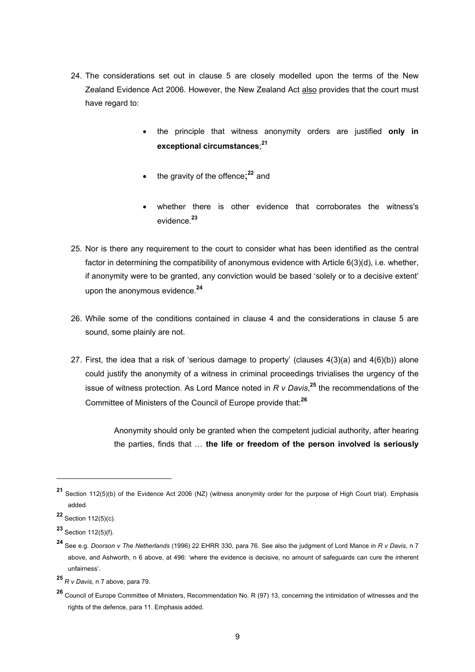- 24. The considerations set out in clause 5 are closely modelled upon the terms of the New Zealand Evidence Act 2006. However, the New Zealand Act also provides that the court must have regard to:
	- the principle that witness anonymity orders are justified **only in exceptional circumstances**; **[21](#page-8-0)**
	- the gravity of the offence;<sup>[22](#page-8-1)</sup> and
	- whether there is other evidence that corroborates the witness's evidence.**[23](#page-8-2)**
- 25. Nor is there any requirement to the court to consider what has been identified as the central factor in determining the compatibility of anonymous evidence with Article 6(3)(d), i.e. whether, if anonymity were to be granted, any conviction would be based 'solely or to a decisive extent' upon the anonymous evidence.**[24](#page-8-3)**
- 26. While some of the conditions contained in clause 4 and the considerations in clause 5 are sound, some plainly are not.
- 27. First, the idea that a risk of 'serious damage to property' (clauses  $4(3)(a)$  and  $4(6)(b)$ ) alone could justify the anonymity of a witness in criminal proceedings trivialises the urgency of the issue of witness protection. As Lord Mance noted in *R v Davis*, **[25](#page-8-4)** the recommendations of the Committee of Ministers of the Council of Europe provide that:**[26](#page-8-5)**

Anonymity should only be granted when the competent judicial authority, after hearing the parties, finds that … **the life or freedom of the person involved is seriously**

<span id="page-8-0"></span>**<sup>21</sup>** Section 112(5)(b) of the Evidence Act 2006 (NZ) (witness anonymity order for the purpose of High Court trial). Emphasis added.

<span id="page-8-1"></span>**<sup>22</sup>** Section 112(5)(c).

<span id="page-8-2"></span>**<sup>23</sup>** Section 112(5)(f).

<span id="page-8-3"></span>**<sup>24</sup>** See e.g. *Doorson v The Netherlands* (1996) 22 EHRR 330, para 76. See also the judgment of Lord Mance in *R v Davis*, n 7 above, and Ashworth, n 6 above, at 496: 'where the evidence is decisive, no amount of safeguards can cure the inherent unfairness'.

<span id="page-8-4"></span>**<sup>25</sup>** *R v Davis*, n 7 above, para 79.

<span id="page-8-5"></span>**<sup>26</sup>** Council of Europe Committee of Ministers, Recommendation No. R (97) 13, concerning the intimidation of witnesses and the rights of the defence, para 11. Emphasis added.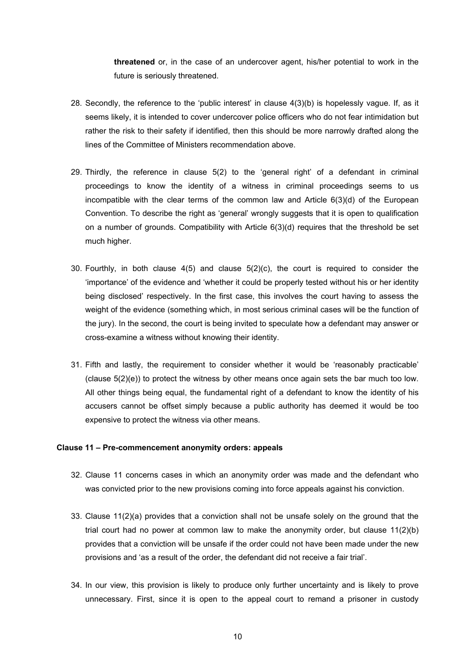**threatened** or, in the case of an undercover agent, his/her potential to work in the future is seriously threatened.

- 28. Secondly, the reference to the 'public interest' in clause 4(3)(b) is hopelessly vague. If, as it seems likely, it is intended to cover undercover police officers who do not fear intimidation but rather the risk to their safety if identified, then this should be more narrowly drafted along the lines of the Committee of Ministers recommendation above.
- 29. Thirdly, the reference in clause 5(2) to the 'general right' of a defendant in criminal proceedings to know the identity of a witness in criminal proceedings seems to us incompatible with the clear terms of the common law and Article 6(3)(d) of the European Convention. To describe the right as 'general' wrongly suggests that it is open to qualification on a number of grounds. Compatibility with Article 6(3)(d) requires that the threshold be set much higher.
- 30. Fourthly, in both clause 4(5) and clause 5(2)(c), the court is required to consider the 'importance' of the evidence and 'whether it could be properly tested without his or her identity being disclosed' respectively. In the first case, this involves the court having to assess the weight of the evidence (something which, in most serious criminal cases will be the function of the jury). In the second, the court is being invited to speculate how a defendant may answer or cross-examine a witness without knowing their identity.
- 31. Fifth and lastly, the requirement to consider whether it would be 'reasonably practicable' (clause 5(2)(e)) to protect the witness by other means once again sets the bar much too low. All other things being equal, the fundamental right of a defendant to know the identity of his accusers cannot be offset simply because a public authority has deemed it would be too expensive to protect the witness via other means.

#### **Clause 11 – Pre-commencement anonymity orders: appeals**

- 32. Clause 11 concerns cases in which an anonymity order was made and the defendant who was convicted prior to the new provisions coming into force appeals against his conviction.
- 33. Clause 11(2)(a) provides that a conviction shall not be unsafe solely on the ground that the trial court had no power at common law to make the anonymity order, but clause  $11(2)(b)$ provides that a conviction will be unsafe if the order could not have been made under the new provisions and 'as a result of the order, the defendant did not receive a fair trial'.
- 34. In our view, this provision is likely to produce only further uncertainty and is likely to prove unnecessary. First, since it is open to the appeal court to remand a prisoner in custody